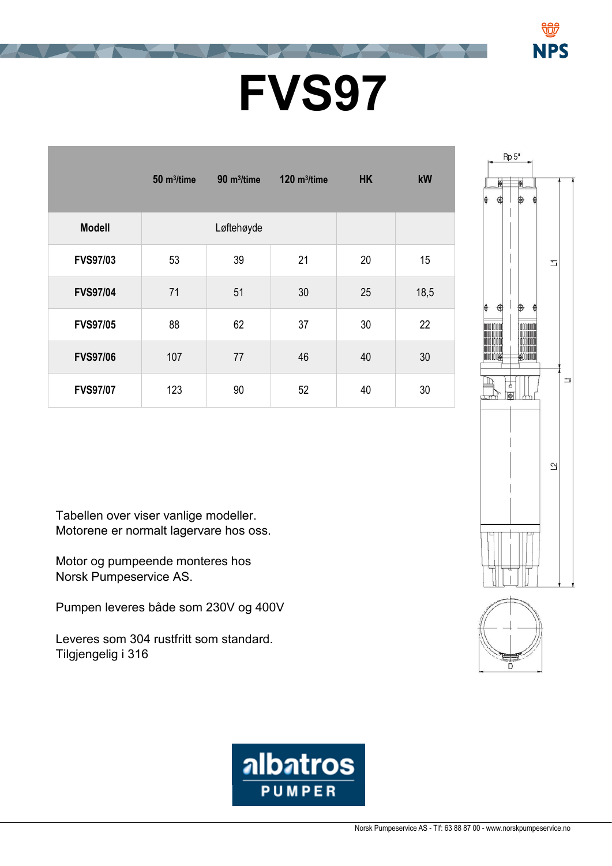## **FVS97**

**FVS97** 

|                 | 50 m <sup>3</sup> /time | 90 m <sup>3</sup> /time | $120$ m <sup>3</sup> /time | <b>HK</b> | kW   |
|-----------------|-------------------------|-------------------------|----------------------------|-----------|------|
| <b>Modell</b>   |                         | Løftehøyde              |                            |           |      |
| <b>FVS97/03</b> | 53                      | 39                      | 21                         | 20        | 15   |
| <b>FVS97/04</b> | 71                      | 51                      | 30                         | 25        | 18,5 |
| <b>FVS97/05</b> | 88                      | 62                      | 37                         | 30        | 22   |
| <b>FVS97/06</b> | 107                     | 77                      | 46                         | 40        | 30   |
| <b>FVS97/07</b> | 123                     | 90                      | 52                         | 40        | 30   |

Norsk Pumpeservice AS. Motorene er normalt lagervare hos oss.

Motor og pumpeende monteres hos

Tabellen over viser vanlige modeller. Motorene er normalt lagervare hos oss.

Motor og pumpeende monteres hos

Tilgjengelig i 316

Leveres som 304 rustfritt som standard.

Pumpen leveres både som 230V og 400V

 $\mathcal{P}$  både som  $\mathcal{P}$ 



NPS



albatros **PUMPER**